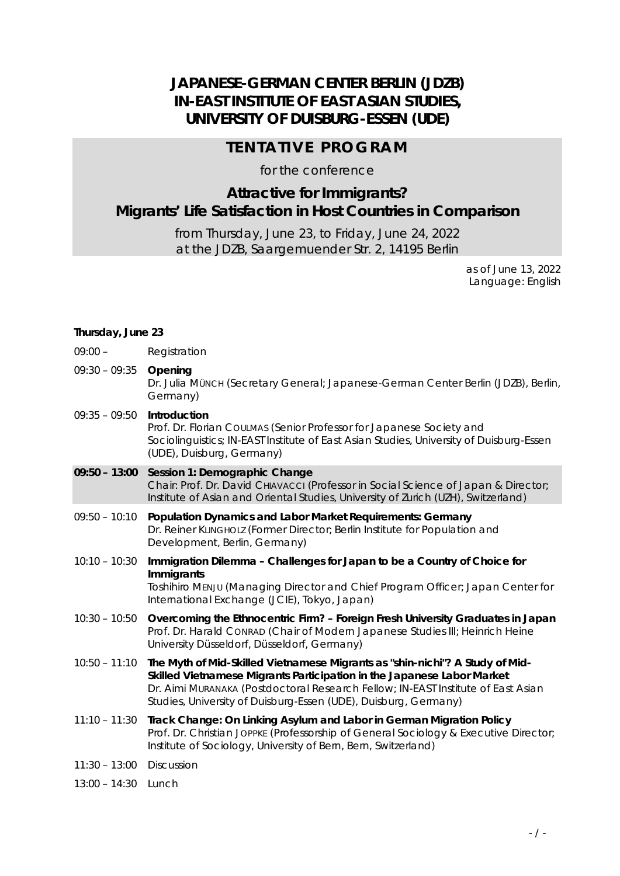# **JAPANESE-GERMAN CENTER BERLIN (JDZB) IN-EAST INSTITUTE OF EAST ASIAN STUDIES, UNIVERSITY OF DUISBURG-ESSEN (UDE)**

### **TENTATIVE PROGRAM**

for the conference

## **Attractive for Immigrants? Migrants' Life Satisfaction in Host Countries in Comparison**

from Thursday, June 23, to Friday, June 24, 2022 at the JDZB, Saargemuender Str. 2, 14195 Berlin

> as of June 13, 2022 Language: English

#### *Thursday, June 23*

| $09:00 -$       | Registration                                                                                                                                                                                                                                                                                                  |
|-----------------|---------------------------------------------------------------------------------------------------------------------------------------------------------------------------------------------------------------------------------------------------------------------------------------------------------------|
| $09:30 - 09:35$ | Opening<br>Dr. Julia Münch (Secretary General; Japanese-German Center Berlin (JDZB), Berlin,<br>Germany)                                                                                                                                                                                                      |
| $09:35 - 09:50$ | Introduction<br>Prof. Dr. Florian CouLMAS (Senior Professor for Japanese Society and<br>Sociolinguistics; IN-EAST Institute of East Asian Studies, University of Duisburg-Essen<br>(UDE), Duisburg, Germany)                                                                                                  |
| $09:50 - 13:00$ | Session 1: Demographic Change<br>Chair: Prof. Dr. David CHIAVACCI (Professor in Social Science of Japan & Director;<br>Institute of Asian and Oriental Studies, University of Zurich (UZH), Switzerland)                                                                                                      |
| $09:50 - 10:10$ | Population Dynamics and Labor Market Requirements: Germany<br>Dr. Reiner KLINGHOLZ (Former Director; Berlin Institute for Population and<br>Development, Berlin, Germany)                                                                                                                                     |
| $10:10 - 10:30$ | Immigration Dilemma - Challenges for Japan to be a Country of Choice for<br>Immigrants<br>Toshihiro MENJU (Managing Director and Chief Program Officer; Japan Center for<br>International Exchange (JCIE), Tokyo, Japan)                                                                                      |
| $10:30 - 10:50$ | Overcoming the Ethnocentric Firm? - Foreign Fresh University Graduates in Japan<br>Prof. Dr. Harald CONRAD (Chair of Modern Japanese Studies III; Heinrich Heine<br>University Düsseldorf, Düsseldorf, Germany)                                                                                               |
| $10:50 - 11:10$ | The Myth of Mid-Skilled Vietnamese Migrants as "shin-nichi"? A Study of Mid-<br>Skilled Vietnamese Migrants Participation in the Japanese Labor Market<br>Dr. Aimi Muranaka (Postdoctoral Research Fellow; IN-EAST Institute of East Asian<br>Studies, University of Duisburg-Essen (UDE), Duisburg, Germany) |
| $11:10 - 11:30$ | Track Change: On Linking Asylum and Labor in German Migration Policy<br>Prof. Dr. Christian JOPPKE (Professorship of General Sociology & Executive Director;<br>Institute of Sociology, University of Bern, Bern, Switzerland)                                                                                |
| $11:30 - 13:00$ | Discussion                                                                                                                                                                                                                                                                                                    |

*13:00 – 14:30 Lunch*